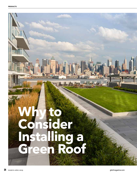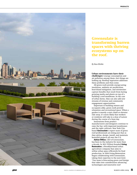

# **Greensulate is transforming barren spaces with thriving ecosystems up on the roof.**

*By Russ Klettke*

#### **Urban environments have their**

**challenges—**energy consumption and air pollution among them—but things are looking up. Rooftop vegetation addresses these problems and then some.

All green roofs provide energy-saving insulation, ambient air purification, heat-island mitigation, and stormwater capture benefits that result from having growing media and plants on top of a building's roof membrane. In the case of urban farms, they can also add new streams of revenue and community engagement opportunities.

Important to building owners and occupants alike, green roofs provide relaxation and recreational space. When a garden is merely a stair climb or elevator ride away, it's more likely that workers or residents will take in a dose of nature during the course of a busy day.

Innovations from product manufacturers and designers continue to raise the bar, with improved membranes and the right cultivars. New York Citybased **Greensulate**'s expert team of green roof professionals are doing just that as they advise, design, install, and maintain beautiful projects all over the U.S.

**Adrian Wilton**, CEO of Greensulate, has been in the industry for more than a decade. In 2011 Wilton founded **Living Restoration**, a Brooklyn-based urban agriculture company that aims to utilize urban space efficiently for food production. In 2016 Living Restoration began collaborating with Greensulate, taking their expertise to the next level. "Our team is forecasting green roof design that takes into consideration advancing technologies and innovative roof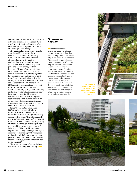development, from how to receive drone deliveries to scalable food production, which we anticipate will greatly affect how we interact as a population with our rooftops," Wilton says.

The Greensulate team knows clients want beautiful spaces, replacing what was once home to a building's HVAC chillers and barren stretches of tar and gravel with inspiring gardens, hardscape amenities, and even sometimes implementing solar panels to reduce energy costs and increase efficiency. Several U.S. cities now incentivize green roofs with tax credits or abatements, grant programs, low-interest loans, and fee reductions, though each municipality varies. For example, Denver's Green Roof Initiative, which passed with 54% approval in 2018, requires green roofs or cool roofs for most new buildings that are 25,000 square feet or larger. In general, building rental and resale values increase if they have a green roof. Building owners who get the most benefit from green roofs are long-term owners—residential owners, hospitals, municipalities, and educational institutions—due to the cost benefits that accrue over time.

Since Greensulate's fruition in 2007, they've engaged with local municipalities that have rolled out initiatives to meet their highest priority sustainability goals. "This often greenlit the installation of green roofs because of their traditional benefits, like improving wellness, ROI through reducing energy costs, and increasing property value," Wilton says. "The possibilities go far beyond that, though, when you integrate creative programming with your green roof design. We help our clients explore potential new revenue streams, business models, and engagement opportunities up on the roof."

These are just some of the additional reasons to consider green roofing.

### **Stormwater capture**

◆ Whether the roof is extensive—covering a broad area with mats of sedum that require only about three inches of growth medium—or intensive (deeper soil, bigger plants), a green roof captures 70 to 90% of precipitation. This benefits urban environments where stormwater causes flooding and, where there are combined wastewater-stormwater sewage systems, bacterial outflows to rivers, lakes, and sometimes into houses in low-lying areas. Consider: Money back. Check to see if your city is like Washington, D.C., where the RiverSmart Rewards program allows up to a 55% reduction in water utility stormwater fees.

The experts at Greensulate help transform urban environments with rooftop gardens and more.